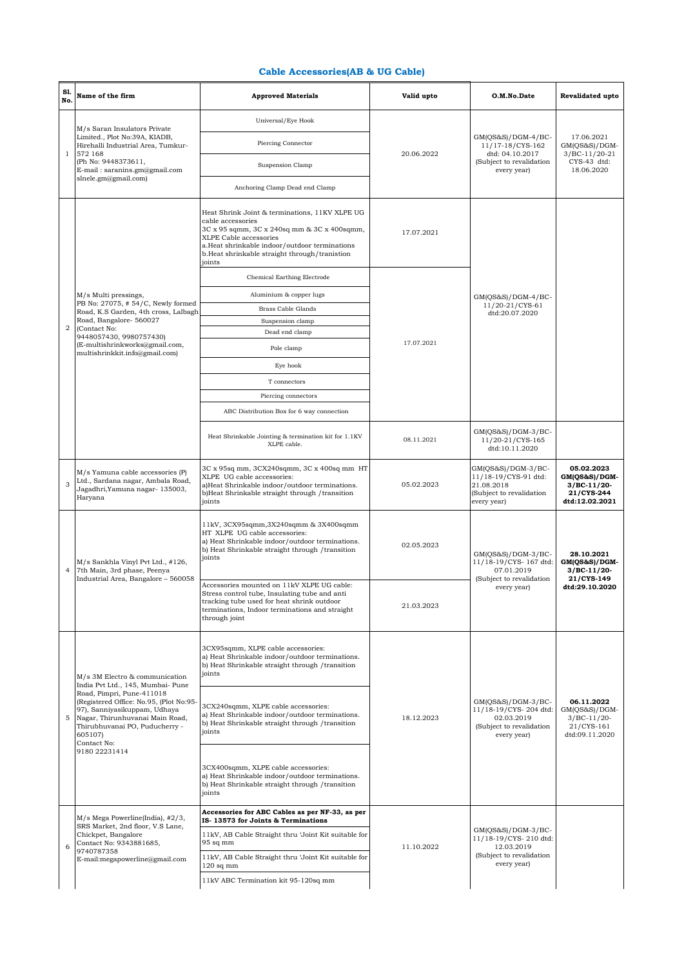## **Cable Accessories(AB & UG Cable)**

| S1.<br>No.     | Name of the firm                                                                                                                                                                                                                                                                              | <b>Approved Materials</b>                                                                                                                                                                                                                                | Valid upto | O.M.No.Date                                                                                            | Revalidated upto                                                               |
|----------------|-----------------------------------------------------------------------------------------------------------------------------------------------------------------------------------------------------------------------------------------------------------------------------------------------|----------------------------------------------------------------------------------------------------------------------------------------------------------------------------------------------------------------------------------------------------------|------------|--------------------------------------------------------------------------------------------------------|--------------------------------------------------------------------------------|
|                | M/s Saran Insulators Private<br>Limited., Plot No:39A, KIADB,<br>Hirehalli Industrial Area, Tumkur-<br>572 168<br>(Ph No: 9448373611,<br>E-mail: saranins.gm@gmail.com<br>shele.gm@gmail.com)                                                                                                 | Universal/Eye Hook                                                                                                                                                                                                                                       | 20.06.2022 | $GM(QS&S)/DGM-4/BC-$<br>11/17-18/CYS-162<br>dtd: 04.10.2017<br>(Subject to revalidation<br>every year) | 17.06.2021<br>$GM(QS&S)/DGM-$<br>$3/BC-11/20-21$<br>CYS-43 dtd:<br>18.06.2020  |
| $\mathbf{1}$   |                                                                                                                                                                                                                                                                                               | Piercing Connector                                                                                                                                                                                                                                       |            |                                                                                                        |                                                                                |
|                |                                                                                                                                                                                                                                                                                               | Suspension Clamp                                                                                                                                                                                                                                         |            |                                                                                                        |                                                                                |
|                |                                                                                                                                                                                                                                                                                               | Anchoring Clamp Dead end Clamp                                                                                                                                                                                                                           |            |                                                                                                        |                                                                                |
|                | M/s Multi pressings,<br>PB No: 27075, #54/C, Newly formed<br>Road, K.S Garden, 4th cross, Lalbagh                                                                                                                                                                                             | Heat Shrink Joint & terminations, 11KV XLPE UG<br>cable accessories<br>3C x 95 sqmm, 3C x 240sq mm & 3C x 400sqmm,<br>XLPE Cable accessories<br>a.Heat shrinkable indoor/outdoor terminations<br>b.Heat shrinkable straight through/tranistion<br>joints | 17.07.2021 | GM(QS&S)/DGM-4/BC-<br>11/20-21/CYS-61<br>dtd:20.07.2020                                                |                                                                                |
|                |                                                                                                                                                                                                                                                                                               | Chemical Earthing Electrode                                                                                                                                                                                                                              | 17.07.2021 |                                                                                                        |                                                                                |
|                |                                                                                                                                                                                                                                                                                               | Aluminium & copper lugs                                                                                                                                                                                                                                  |            |                                                                                                        |                                                                                |
|                |                                                                                                                                                                                                                                                                                               | <b>Brass Cable Glands</b>                                                                                                                                                                                                                                |            |                                                                                                        |                                                                                |
| $\overline{a}$ | Road, Bangalore- 560027<br>(Contact No:                                                                                                                                                                                                                                                       | Suspension clamp<br>Dead end clamp                                                                                                                                                                                                                       |            |                                                                                                        |                                                                                |
|                | 9448057430, 9980757430)<br>(E-multishrinkworks@gmail.com,                                                                                                                                                                                                                                     |                                                                                                                                                                                                                                                          |            |                                                                                                        |                                                                                |
|                | multishrinkkit.info@gmail.com)                                                                                                                                                                                                                                                                | Pole clamp                                                                                                                                                                                                                                               |            |                                                                                                        |                                                                                |
|                |                                                                                                                                                                                                                                                                                               | Eye hook                                                                                                                                                                                                                                                 |            |                                                                                                        |                                                                                |
|                |                                                                                                                                                                                                                                                                                               | T connectors                                                                                                                                                                                                                                             |            |                                                                                                        |                                                                                |
|                |                                                                                                                                                                                                                                                                                               | Piercing connectors                                                                                                                                                                                                                                      |            |                                                                                                        |                                                                                |
|                |                                                                                                                                                                                                                                                                                               | ABC Distribution Box for 6 way connection                                                                                                                                                                                                                |            |                                                                                                        |                                                                                |
|                |                                                                                                                                                                                                                                                                                               | Heat Shrinkable Jointing & termination kit for 1.1KV<br>XLPE cable.                                                                                                                                                                                      | 08.11.2021 | $GM(QS&S)/DGM-3/BC-$<br>11/20-21/CYS-165<br>dtd:10.11.2020                                             |                                                                                |
| 3              | $M/s$ Yamuna cable accessories $(P)$<br>Ltd., Sardana nagar, Ambala Road,<br>Jagadhri, Yamuna nagar- 135003,<br>Haryana                                                                                                                                                                       | 3C x 95sq mm, 3CX240sqmm, 3C x 400sq mm HT<br>XLPE UG cable accessories:<br>a)Heat Shrinkable indoor/outdoor terminations.<br>b)Heat Shrinkable straight through /transition<br>joints                                                                   | 05.02.2023 | GM(QS&S)/DGM-3/BC-<br>11/18-19/CYS-91 dtd:<br>21.08.2018<br>(Subject to revalidation<br>every year)    | 05.02.2023<br>GM(QS&S)/DGM-<br>$3/BC-11/20-$<br>21/CYS-244<br>dtd:12.02.2021   |
| 4              | M/s Sankhla Vinyl Pvt Ltd., #126,<br>7th Main, 3rd phase, Peenya<br>Industrial Area, Bangalore - 560058                                                                                                                                                                                       | 11kV, 3CX95sqmm, 3X240sqmm & 3X400sqmm<br>HT XLPE UG cable accessories:<br>a) Heat Shrinkable indoor/outdoor terminations.<br>b) Heat Shrinkable straight through / transition<br>joints                                                                 | 02.05.2023 | $GM(QS&S)/DGM-3/BC-$<br>11/18-19/CYS-167 dtd:<br>07.01.2019<br>(Subject to revalidation<br>every year) | 28.10.2021<br>GM(QS&S)/DGM-<br>$3/BC-11/20-$<br>21/CYS-149<br>dtd:29.10.2020   |
|                |                                                                                                                                                                                                                                                                                               | Accessories mounted on 11kV XLPE UG cable:<br>Stress control tube, Insulating tube and anti<br>tracking tube used for heat shrink outdoor<br>terminations, Indoor terminations and straight<br>through joint                                             | 21.03.2023 |                                                                                                        |                                                                                |
|                | M/s 3M Electro & communication<br>India Pvt Ltd., 145, Mumbai- Pune<br>Road, Pimpri, Pune-411018<br>(Registered Office: No.95, (Plot No:95-<br>97), Sanniyasikuppam, Udhaya<br>5 Nagar, Thirunhuvanai Main Road,<br>Thirubhuvanai PO, Puducherry -<br>605107)<br>Contact No:<br>9180 22231414 | 3CX95sqmm, XLPE cable accessories:<br>a) Heat Shrinkable indoor/outdoor terminations.<br>b) Heat Shrinkable straight through /transition<br>joints                                                                                                       | 18.12.2023 | GM(QS&S)/DGM-3/BC-<br>11/18-19/CYS-204 dtd:<br>02.03.2019<br>(Subject to revalidation<br>every year)   |                                                                                |
|                |                                                                                                                                                                                                                                                                                               | 3CX240sqmm, XLPE cable accessories:<br>a) Heat Shrinkable indoor/outdoor terminations.<br>b) Heat Shrinkable straight through /transition<br>joints                                                                                                      |            |                                                                                                        | 06.11.2022<br>$GM(QS&S)/DGM-$<br>$3/BC-11/20-$<br>21/CYS-161<br>dtd:09.11.2020 |
|                |                                                                                                                                                                                                                                                                                               | 3CX400sqmm, XLPE cable accessories:<br>a) Heat Shrinkable indoor/outdoor terminations.<br>b) Heat Shrinkable straight through /transition<br>joints                                                                                                      |            |                                                                                                        |                                                                                |
|                | M/s Mega Powerline(India), #2/3,<br>SRS Market, 2nd floor, V.S Lane,<br>Chickpet, Bangalore<br>Contact No: 9343881685,<br>9740787358<br>E-mail:megapowerline@gmail.com                                                                                                                        | Accessories for ABC Cables as per NF-33, as per<br>IS-13573 for Joints & Terminations<br>11kV, AB Cable Straight thru 'Joint Kit suitable for                                                                                                            | 11.10.2022 | GM(QS&S)/DGM-3/BC-<br>11/18-19/CYS-210 dtd:<br>12.03.2019<br>(Subject to revalidation<br>every year)   |                                                                                |
| 6              |                                                                                                                                                                                                                                                                                               | $95$ sq mm                                                                                                                                                                                                                                               |            |                                                                                                        |                                                                                |
|                |                                                                                                                                                                                                                                                                                               | 11kV, AB Cable Straight thru 'Joint Kit suitable for<br>$120$ sq mm                                                                                                                                                                                      |            |                                                                                                        |                                                                                |
|                |                                                                                                                                                                                                                                                                                               | 11kV ABC Termination kit 95-120sq mm                                                                                                                                                                                                                     |            |                                                                                                        |                                                                                |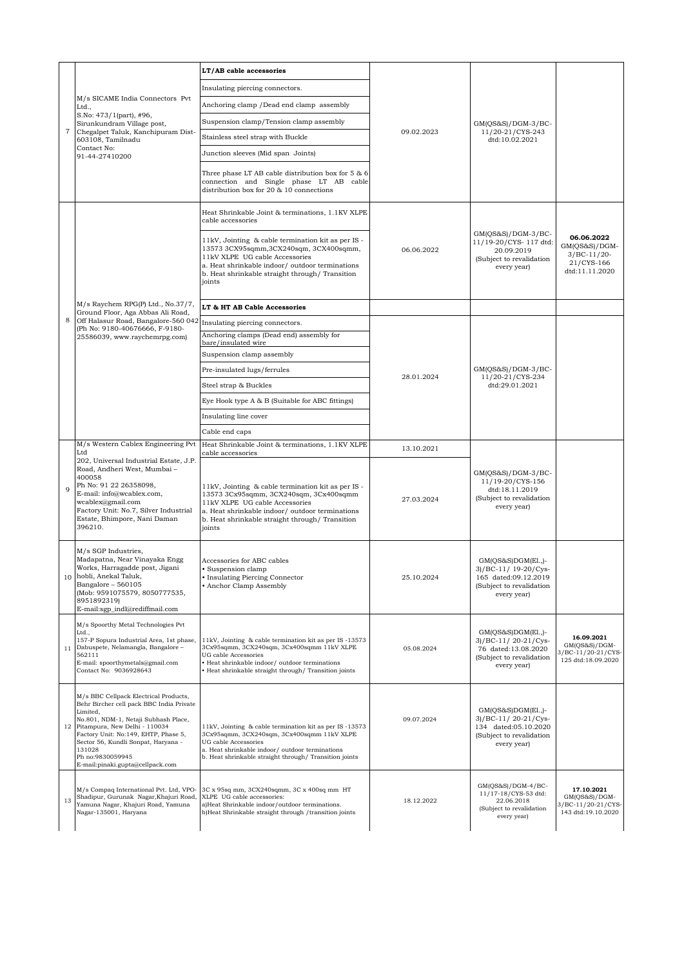| 7  | M/s SICAME India Connectors Pvt<br>Ltd.,<br>S.No: 473/1(part), #96,<br>Sirunkundram Village post,<br>Chegalpet Taluk, Kanchipuram Dist-<br>603108, Tamilnadu<br>Contact No:<br>91-44-27410200                                                                                                                           | LT/AB cable accessories                                                                                                                                                                                                                        | 09.02.2023 | GM(QS&S)/DGM-3/BC-<br>11/20-21/CYS-243<br>dtd:10.02.2021                                                       |                                                                                |
|----|-------------------------------------------------------------------------------------------------------------------------------------------------------------------------------------------------------------------------------------------------------------------------------------------------------------------------|------------------------------------------------------------------------------------------------------------------------------------------------------------------------------------------------------------------------------------------------|------------|----------------------------------------------------------------------------------------------------------------|--------------------------------------------------------------------------------|
|    |                                                                                                                                                                                                                                                                                                                         | Insulating piercing connectors.                                                                                                                                                                                                                |            |                                                                                                                |                                                                                |
|    |                                                                                                                                                                                                                                                                                                                         | Anchoring clamp / Dead end clamp assembly                                                                                                                                                                                                      |            |                                                                                                                |                                                                                |
|    |                                                                                                                                                                                                                                                                                                                         | Suspension clamp/Tension clamp assembly                                                                                                                                                                                                        |            |                                                                                                                |                                                                                |
|    |                                                                                                                                                                                                                                                                                                                         | Stainless steel strap with Buckle                                                                                                                                                                                                              |            |                                                                                                                |                                                                                |
|    |                                                                                                                                                                                                                                                                                                                         | Junction sleeves (Mid span Joints)                                                                                                                                                                                                             |            |                                                                                                                |                                                                                |
|    |                                                                                                                                                                                                                                                                                                                         | Three phase LT AB cable distribution box for $5 & 6$<br>connection and Single phase LT AB cable<br>distribution box for 20 & 10 connections                                                                                                    |            |                                                                                                                |                                                                                |
|    | M/s Raychem RPG(P) Ltd., No.37/7,<br>Ground Floor, Aga Abbas Ali Road,<br>Off Halasur Road, Bangalore-560 042<br>(Ph No: 9180-40676666, F-9180-<br>25586039, www.raychemrpg.com)<br>M/s Western Cablex Engineering Pvt                                                                                                  | Heat Shrinkable Joint & terminations, 1.1KV XLPE<br>cable accessories                                                                                                                                                                          | 06.06.2022 | $GM(QS&S)/DGM-3/BC-$<br>11/19-20/CYS-117 dtd:<br>20.09.2019<br>(Subject to revalidation<br>every year)         |                                                                                |
|    |                                                                                                                                                                                                                                                                                                                         | 11kV, Jointing & cable termination kit as per IS -<br>13573 3CX95sqmm, 3CX240sqm, 3CX400sqmm,<br>11kV XLPE UG cable Accessories<br>a. Heat shrinkable indoor/ outdoor terminations<br>b. Heat shrinkable straight through/Transition<br>joints |            |                                                                                                                | 06.06.2022<br>$GM(QS&S)/DGM-$<br>$3/BC-11/20-$<br>21/CYS-166<br>dtd:11.11.2020 |
|    |                                                                                                                                                                                                                                                                                                                         | LT & HT AB Cable Accessories                                                                                                                                                                                                                   |            |                                                                                                                |                                                                                |
| 8  |                                                                                                                                                                                                                                                                                                                         | Insulating piercing connectors.<br>Anchoring clamps (Dead end) assembly for<br>bare/insulated wire<br>Suspension clamp assembly                                                                                                                | 28.01.2024 | GM(QS&S)/DGM-3/BC-<br>11/20-21/CYS-234<br>dtd:29.01.2021                                                       |                                                                                |
|    |                                                                                                                                                                                                                                                                                                                         | Pre-insulated lugs/ferrules                                                                                                                                                                                                                    |            |                                                                                                                |                                                                                |
|    |                                                                                                                                                                                                                                                                                                                         | Steel strap & Buckles                                                                                                                                                                                                                          |            |                                                                                                                |                                                                                |
|    |                                                                                                                                                                                                                                                                                                                         | Eye Hook type A & B (Suitable for ABC fittings)                                                                                                                                                                                                |            |                                                                                                                |                                                                                |
|    |                                                                                                                                                                                                                                                                                                                         | Insulating line cover                                                                                                                                                                                                                          |            |                                                                                                                |                                                                                |
|    |                                                                                                                                                                                                                                                                                                                         | Cable end caps<br>Heat Shrinkable Joint & terminations, 1.1KV XLPE                                                                                                                                                                             |            |                                                                                                                |                                                                                |
| 9  | Ltd<br>202, Universal Industrial Estate, J.P.<br>Road, Andheri West, Mumbai -<br>400058<br>Ph No: 91 22 26358098,<br>E-mail: info@wcablex.com,<br>wcablex@gmail.com<br>Factory Unit: No.7, Silver Industrial<br>Estate, Bhimpore, Nani Daman<br>396210.                                                                 | cable accessories                                                                                                                                                                                                                              | 13.10.2021 | $GM(QS&S)/DGM-3/BC-$<br>11/19-20/CYS-156<br>dtd:18.11.2019<br>(Subject to revalidation<br>every year)          |                                                                                |
|    |                                                                                                                                                                                                                                                                                                                         | 11kV, Jointing & cable termination kit as per IS -<br>13573 3Cx95sqmm, 3CX240sqm, 3Cx400sqmm<br>11kV XLPE UG cable Accessories<br>a. Heat shrinkable indoor/ outdoor terminations<br>b. Heat shrinkable straight through/ Transition<br>joints | 27.03.2024 |                                                                                                                |                                                                                |
|    | M/s SGP Industries,<br>Madapatna, Near Vinayaka Engg<br>Works, Harragadde post, Jigani<br>10 hobli, Anekal Taluk,<br>Bangalore - 560105<br>(Mob: 9591075579, 8050777535,<br>8951892319)<br>E-mail:sgp_indl@rediffmail.com                                                                                               | Accessories for ABC cables<br>· Suspension clamp<br>• Insulating Piercing Connector<br>• Anchor Clamp Assembly                                                                                                                                 | 25.10.2024 | $GM(QS&S)DGM(E1.$<br>3)/BC-11/ 19-20/Cys-<br>165 dated:09.12.2019<br>(Subject to revalidation<br>every year)   |                                                                                |
| 11 | M/s Spoorthy Metal Technologies Pvt<br>Ltd.,<br>157-P Sopura Industrial Area, 1st phase,<br>Dabuspete, Nelamangla, Bangalore -<br>562111<br>E-mail: spoorthymetals@gmail.com<br>Contact No: 9036928643                                                                                                                  | 11kV, Jointing & cable termination kit as per IS-13573<br>3Cx95sqmm, 3CX240sqm, 3Cx400sqmm 11kV XLPE<br>UG cable Accessories<br>· Heat shrinkable indoor/ outdoor terminations<br>· Heat shrinkable straight through/ Transition joints        | 05.08.2024 | $GM(QS&S)DGM(E1,$<br>3)/BC-11/20-21/Cys-<br>76 dated:13.08.2020<br>(Subject to revalidation<br>every year)     | 16.09.2021<br>$GM(QS&S)/DGM-$<br>3/BC-11/20-21/CYS-<br>125 dtd:18.09.2020      |
| 12 | M/s BBC Cellpack Electrical Products,<br>Behr Bircher cell pack BBC India Private<br>Limited,<br>No.801, NDM-1, Netaji Subhash Place,<br>Pitampura, New Delhi - 110034<br>Factory Unit: No:149, EHTP, Phase 5,<br>Sector 56, Kundli Sonpat, Haryana -<br>131028<br>Ph no:9830059945<br>E-mail:pinaki.gupta@cellpack.com | 11kV, Jointing & cable termination kit as per IS-13573<br>3Cx95sqmm, 3CX240sqm, 3Cx400sqmm 11kV XLPE<br>UG cable Accessories<br>a. Heat shrinkable indoor/outdoor terminations<br>b. Heat shrinkable straight through/ Transition joints       | 09.07.2024 | $GM(QS&S)DGM(E1, -)$<br>3)/BC-11/20-21/Cys-<br>134 dated:05.10.2020<br>(Subject to revalidation<br>every year) |                                                                                |
| 13 | M/s Compaq International Pvt. Ltd, VPO-<br>Shadipur, Gurunak Nagar, Khajuri Road,<br>Yamuna Nagar, Khajuri Road, Yamuna<br>Nagar-135001, Haryana                                                                                                                                                                        | 3C x 95sq mm, 3CX240sqmm, 3C x 400sq mm HT<br>XLPE UG cable accessories:<br>a)Heat Shrinkable indoor/outdoor terminations.<br>b)Heat Shrinkable straight through /transition joints                                                            | 18.12.2022 | GM(QS&S)/DGM-4/BC-<br>11/17-18/CYS-53 dtd:<br>22.06.2018<br>(Subject to revalidation<br>every year)            | 17.10.2021<br>$GM(QS&S)/DGM-$<br>3/BC-11/20-21/CYS-<br>143 dtd:19.10.2020      |